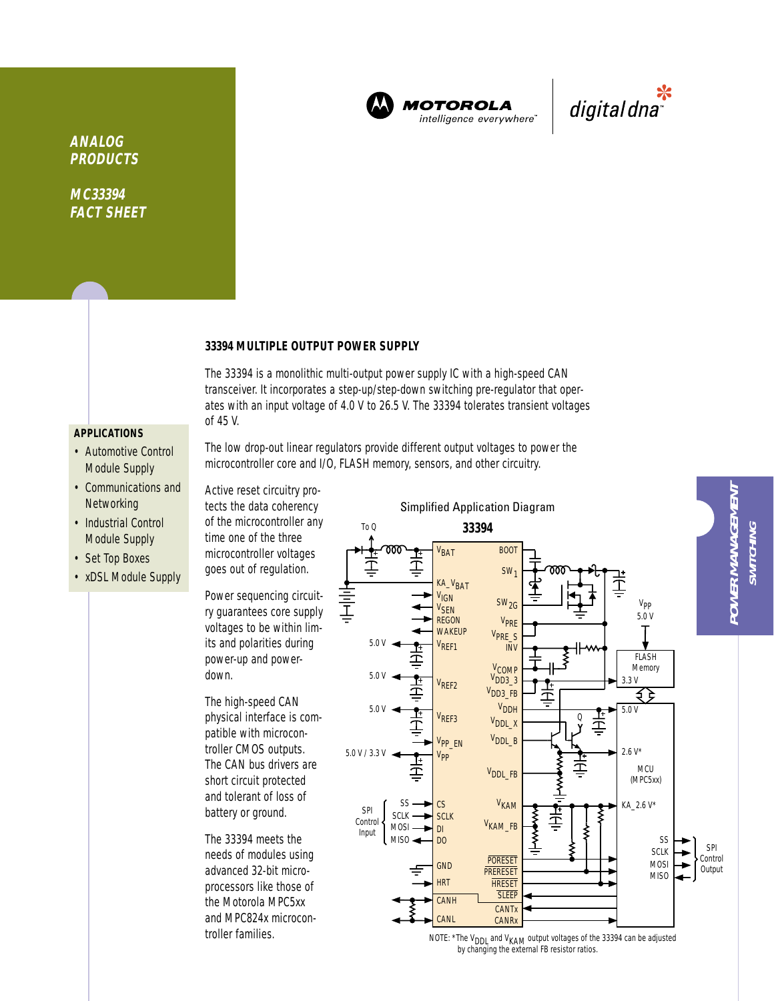

**MOTOROLA** intelligence everywhere



**ANALOG PRODUCTS**

**MC33394 FACT SHEET**

#### **33394 MULTIPLE OUTPUT POWER SUPPLY**

The 33394 is a monolithic multi-output power supply IC with a high-speed CAN transceiver. It incorporates a step-up/step-down switching pre-regulator that operates with an input voltage of 4.0 V to 26.5 V. The 33394 tolerates transient voltages of 45 V.

# **APPLICATIONS**

- Automotive Control Module Supply
- Communications and **Networking**
- Industrial Control Module Supply
- Set Top Boxes
- xDSL Module Supply

The low drop-out linear regulators provide different output voltages to power the microcontroller core and I/O, FLASH memory, sensors, and other circuitry.

Active reset circuitry protects the data coherency of the microcontroller any time one of the three microcontroller voltages goes out of regulation. Power sequencing circuit-

ry guarantees core supply voltages to be within limits and polarities during power-up and powerdown.

The high-speed CAN physical interface is compatible with microcontroller CMOS outputs. The CAN bus drivers are short circuit protected and tolerant of loss of battery or ground.

The 33394 meets the needs of modules using advanced 32-bit microprocessors like those of the Motorola MPC5xx and MPC824x microcon-



troller families.  $N$  NOTE: \*The V<sub>DDL</sub> and V<sub>KAM</sub> output voltages of the 33394 can be adjusted by changing the external FB resistor ratios.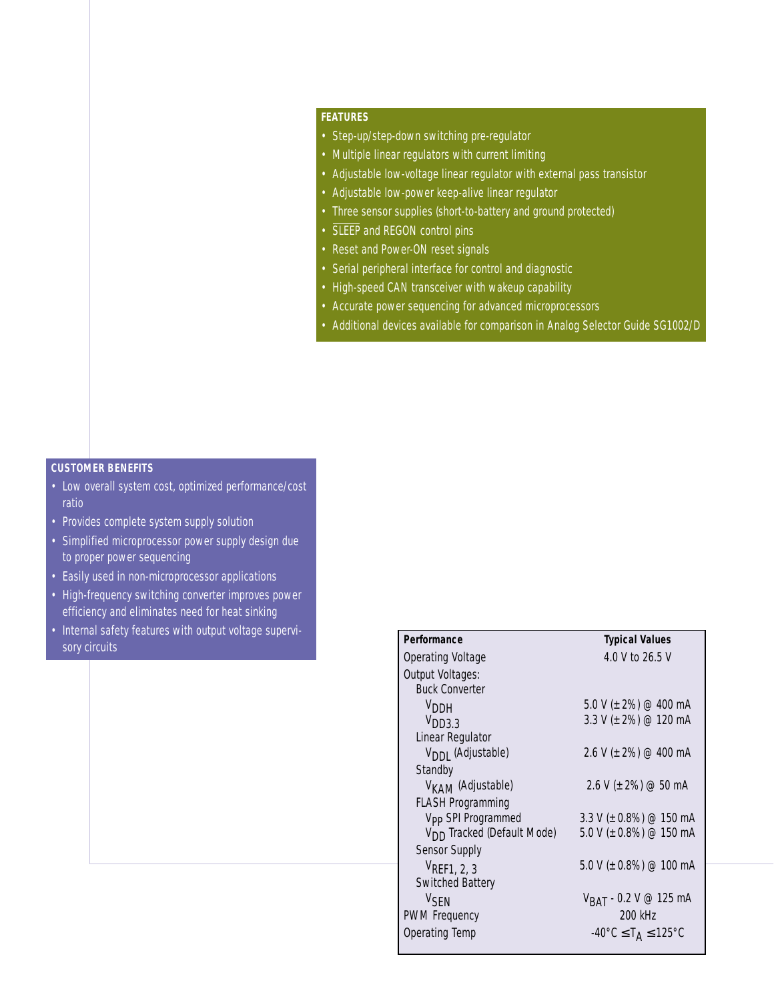## **FEATURES**

- Step-up/step-down switching pre-regulator
- Multiple linear regulators with current limiting
- Adjustable low-voltage linear regulator with external pass transistor
- Adjustable low-power keep-alive linear regulator
- Three sensor supplies (short-to-battery and ground protected)
- SLEEP and REGON control pins
- Reset and Power-ON reset signals
- Serial peripheral interface for control and diagnostic
- High-speed CAN transceiver with wakeup capability
- Accurate power sequencing for advanced microprocessors
- Additional devices available for comparison in Analog Selector Guide SG1002/D

## **CUSTOMER BENEFITS**

- Low overall system cost, optimized performance/cost ratio
- Provides complete system supply solution
- Simplified microprocessor power supply design due to proper power sequencing
- Easily used in non-microprocessor applications
- High-frequency switching converter improves power efficiency and eliminates need for heat sinking
- Internal safety features with output voltage supervisory circuits

| Performance                            | <b>Typical Values</b>                                         |
|----------------------------------------|---------------------------------------------------------------|
| Operating Voltage                      | 4.0 V to 26.5 V                                               |
| Output Voltages:                       |                                                               |
| <b>Buck Converter</b>                  |                                                               |
| V <sub>DDH</sub>                       | 5.0 V ( $\pm$ 2%) @ 400 mA                                    |
| V <sub>DD33</sub>                      | 3.3 V ( $\pm$ 2%) @ 120 mA                                    |
| Linear Regulator                       |                                                               |
| V <sub>DDI</sub> (Adjustable)          | 2.6 V ( $\pm$ 2%) @ 400 mA                                    |
| Standby                                |                                                               |
| V <sub>KAM</sub> (Adjustable)          | $2.6$ V ( $\pm$ 2%) @ 50 mA                                   |
| <b>FLASH Programming</b>               |                                                               |
| V <sub>PP</sub> SPI Programmed         | 3.3 V ( $\pm$ 0.8%) @ 150 mA                                  |
| V <sub>DD</sub> Tracked (Default Mode) | 5.0 V ( $\pm$ 0.8%) @ 150 mA                                  |
| Sensor Supply                          |                                                               |
| $V_{\text{REF1, 2, 3}}$                | 5.0 V ( $\pm$ 0.8%) @ 100 mA                                  |
| Switched Battery                       |                                                               |
| <b>V<sub>SEN</sub></b>                 | $V_{BAT}$ - 0.2 V @ 125 mA                                    |
| <b>PWM Frequency</b>                   | 200 kHz                                                       |
| Operating Temp                         | $-40^{\circ}$ C $\leq$ T <sub>A</sub> $\leq$ 125 $^{\circ}$ C |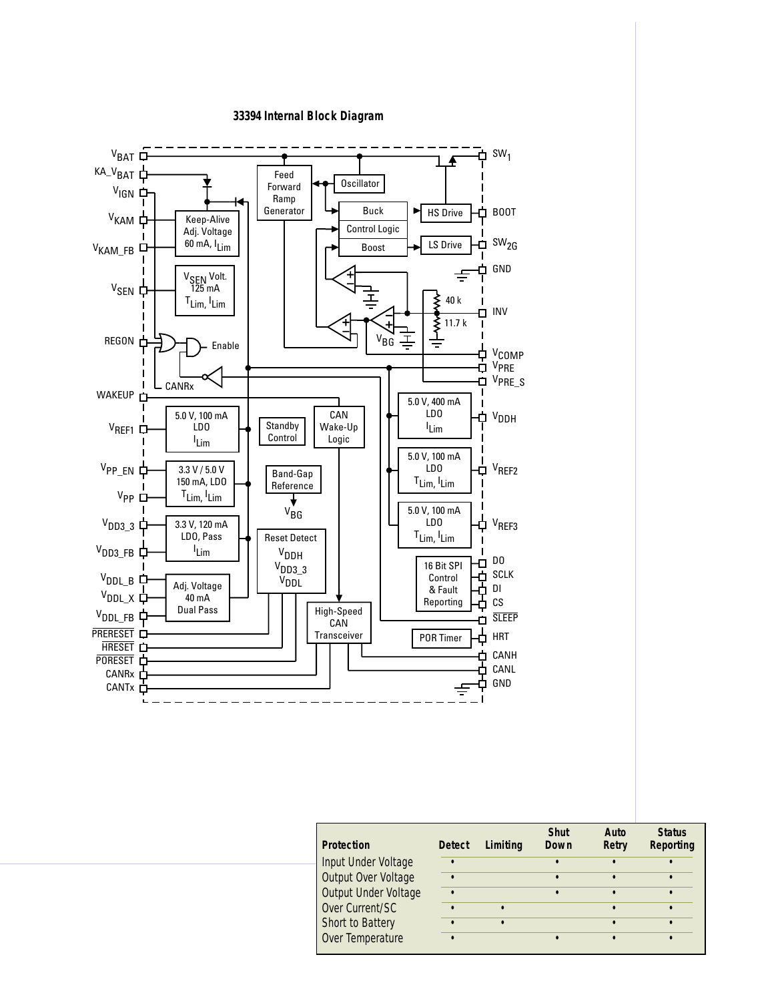#### **33394 Internal Block Diagram**



| <b>Protection</b>    | <b>Detect</b> | Limiting | <b>Shut</b><br>Down | Auto<br>Retry | <b>Status</b><br>Reporting |
|----------------------|---------------|----------|---------------------|---------------|----------------------------|
| Input Under Voltage  |               |          |                     |               |                            |
| Output Over Voltage  |               |          |                     |               |                            |
| Output Under Voltage |               |          |                     |               |                            |
| Over Current/SC      |               |          |                     |               |                            |
| Short to Battery     |               |          |                     |               |                            |
| Over Temperature     |               |          |                     |               |                            |